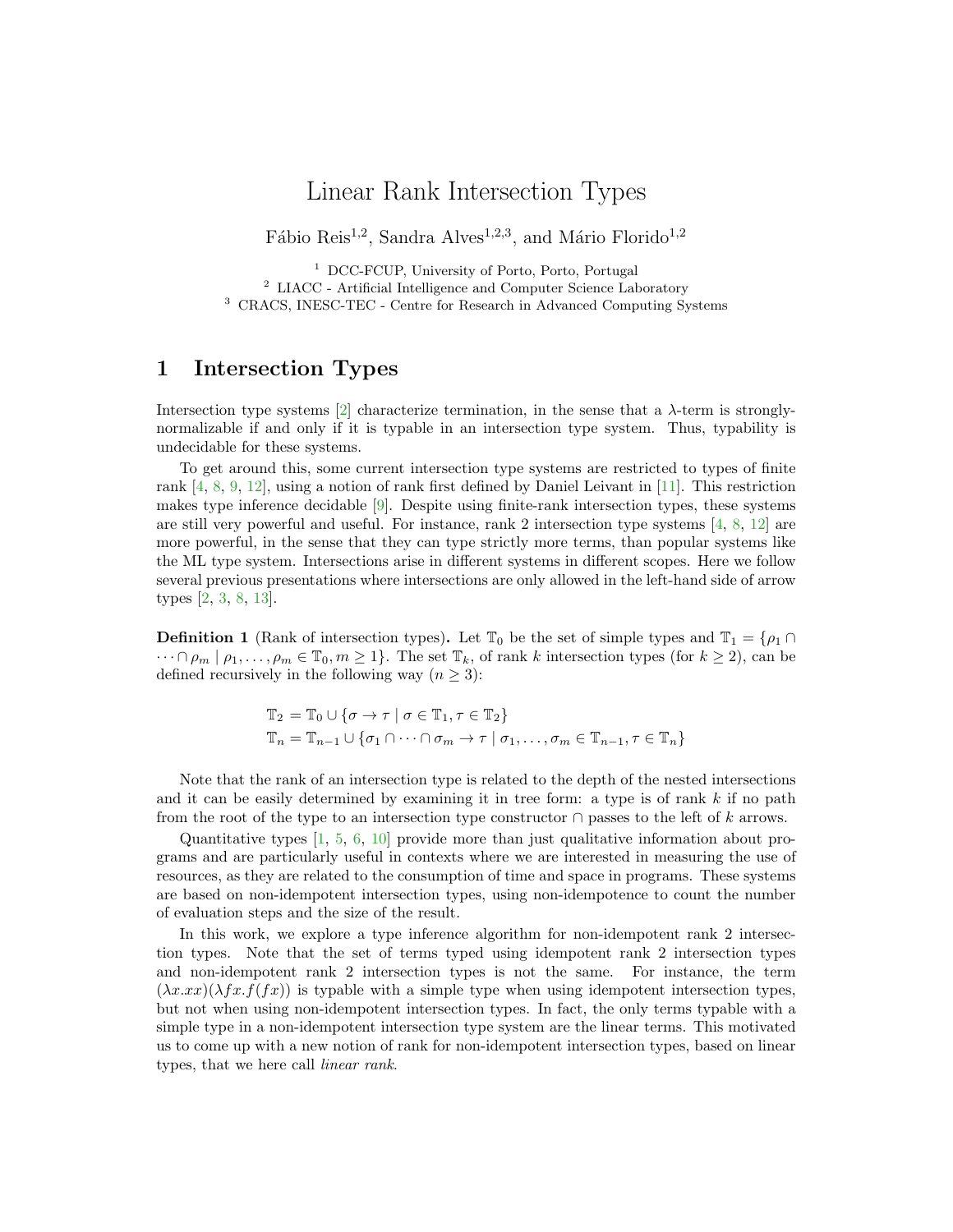# Linear Rank Intersection Types

Fábio Reis<sup>1,2</sup>, Sandra Alves<sup>1,2,3</sup>, and Mário Florido<sup>1,2</sup>

<sup>1</sup> DCC-FCUP, University of Porto, Porto, Portugal <sup>2</sup> LIACC - Artificial Intelligence and Computer Science Laboratory <sup>3</sup> CRACS, INESC-TEC - Centre for Research in Advanced Computing Systems

## 1 Intersection Types

Intersection type systems  $[2]$  characterize termination, in the sense that a  $\lambda$ -term is stronglynormalizable if and only if it is typable in an intersection type system. Thus, typability is undecidable for these systems.

To get around this, some current intersection type systems are restricted to types of finite rank [\[4,](#page-2-1) [8,](#page-2-2) [9,](#page-2-3) [12\]](#page-2-4), using a notion of rank first defined by Daniel Leivant in [\[11\]](#page-2-5). This restriction makes type inference decidable [\[9\]](#page-2-3). Despite using finite-rank intersection types, these systems are still very powerful and useful. For instance, rank 2 intersection type systems [\[4,](#page-2-1) [8,](#page-2-2) [12\]](#page-2-4) are more powerful, in the sense that they can type strictly more terms, than popular systems like the ML type system. Intersections arise in different systems in different scopes. Here we follow several previous presentations where intersections are only allowed in the left-hand side of arrow types [\[2,](#page-2-0) [3,](#page-2-6) [8,](#page-2-2) [13\]](#page-2-7).

**Definition 1** (Rank of intersection types). Let  $\mathbb{T}_0$  be the set of simple types and  $\mathbb{T}_1 = \{\rho_1 \cap$  $\cdots \cap \rho_m \mid \rho_1, \ldots, \rho_m \in \mathbb{T}_0, m \ge 1$ . The set  $\mathbb{T}_k$ , of rank k intersection types (for  $k \ge 2$ ), can be defined recursively in the following way  $(n \geq 3)$ :

$$
\mathbb{T}_2 = \mathbb{T}_0 \cup \{ \sigma \to \tau \mid \sigma \in \mathbb{T}_1, \tau \in \mathbb{T}_2 \}
$$
  

$$
\mathbb{T}_n = \mathbb{T}_{n-1} \cup \{ \sigma_1 \cap \cdots \cap \sigma_m \to \tau \mid \sigma_1, \dots, \sigma_m \in \mathbb{T}_{n-1}, \tau \in \mathbb{T}_n \}
$$

Note that the rank of an intersection type is related to the depth of the nested intersections and it can be easily determined by examining it in tree form: a type is of rank  $k$  if no path from the root of the type to an intersection type constructor  $\cap$  passes to the left of k arrows.

Quantitative types [\[1,](#page-2-8) [5,](#page-2-9) [6,](#page-2-10) [10\]](#page-2-11) provide more than just qualitative information about programs and are particularly useful in contexts where we are interested in measuring the use of resources, as they are related to the consumption of time and space in programs. These systems are based on non-idempotent intersection types, using non-idempotence to count the number of evaluation steps and the size of the result.

In this work, we explore a type inference algorithm for non-idempotent rank 2 intersection types. Note that the set of terms typed using idempotent rank 2 intersection types and non-idempotent rank 2 intersection types is not the same. For instance, the term  $(\lambda x.xx)(\lambda fx.f(fx))$  is typable with a simple type when using idempotent intersection types, but not when using non-idempotent intersection types. In fact, the only terms typable with a simple type in a non-idempotent intersection type system are the linear terms. This motivated us to come up with a new notion of rank for non-idempotent intersection types, based on linear types, that we here call linear rank.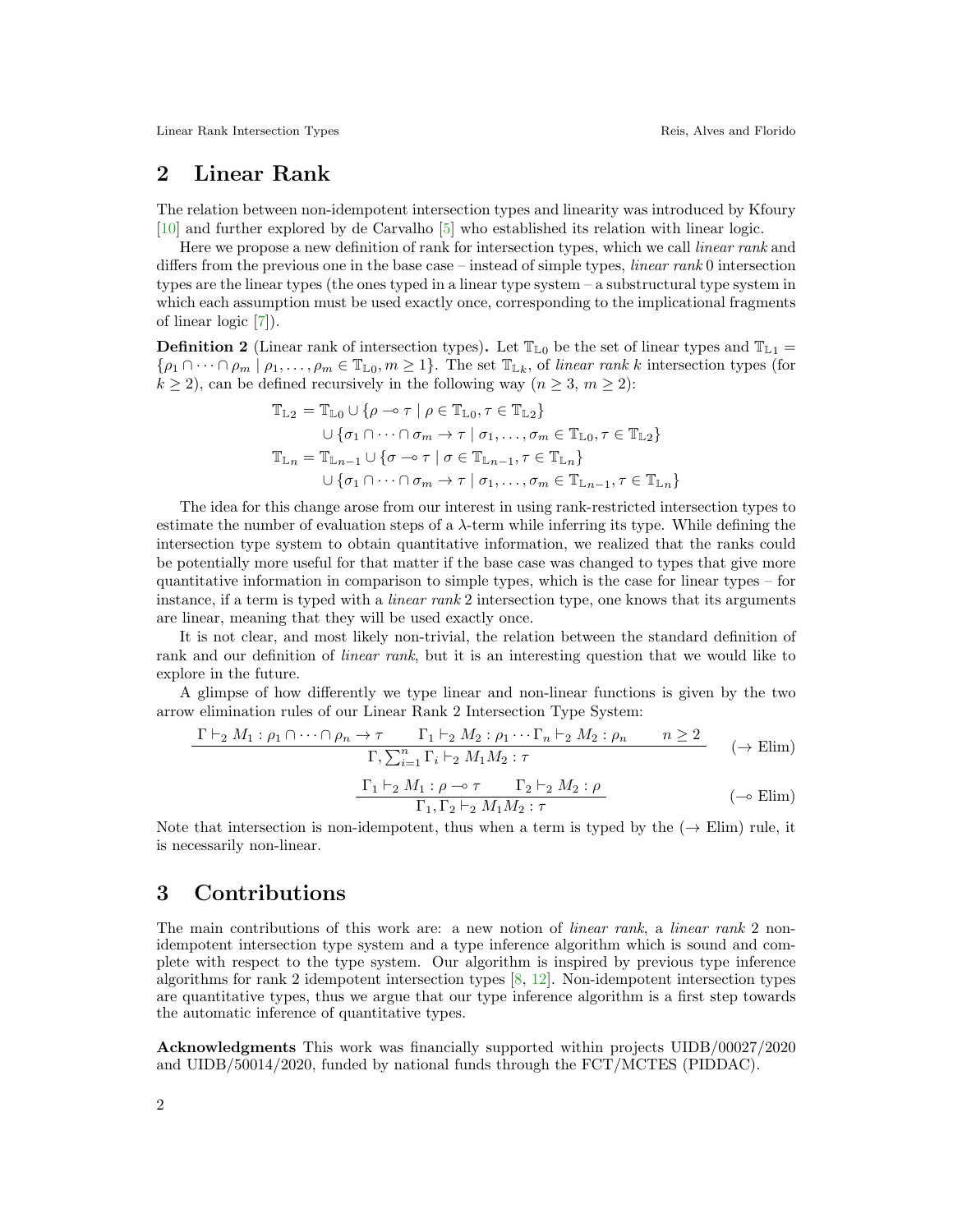Linear Rank Intersection Types **Reis** Reis, Alves and Florido

## 2 Linear Rank

The relation between non-idempotent intersection types and linearity was introduced by Kfoury [\[10\]](#page-2-11) and further explored by de Carvalho [\[5\]](#page-2-9) who established its relation with linear logic.

Here we propose a new definition of rank for intersection types, which we call *linear rank* and differs from the previous one in the base case – instead of simple types, *linear rank* 0 intersection types are the linear types (the ones typed in a linear type system – a substructural type system in which each assumption must be used exactly once, corresponding to the implicational fragments of linear logic [\[7\]](#page-2-12)).

**Definition 2** (Linear rank of intersection types). Let  $\mathbb{T}_{L0}$  be the set of linear types and  $\mathbb{T}_{L1}$  =  $\{\rho_1 \cap \cdots \cap \rho_m \mid \rho_1, \ldots, \rho_m \in \mathbb{T}_{\mathbb{L}^0}, m \geq 1\}.$  The set  $\mathbb{T}_{\mathbb{L}^k}$ , of linear rank k intersection types (for  $k \ge 2$ , can be defined recursively in the following way  $(n \ge 3, m \ge 2)$ :

$$
\mathbb{T}_{\mathbb{L}2} = \mathbb{T}_{\mathbb{L}0} \cup \{ \rho \multimap \tau \mid \rho \in \mathbb{T}_{\mathbb{L}0}, \tau \in \mathbb{T}_{\mathbb{L}2} \}
$$
\n
$$
\cup \{ \sigma_1 \cap \cdots \cap \sigma_m \to \tau \mid \sigma_1, \dots, \sigma_m \in \mathbb{T}_{\mathbb{L}0}, \tau \in \mathbb{T}_{\mathbb{L}2} \}
$$
\n
$$
\mathbb{T}_{\mathbb{L}n} = \mathbb{T}_{\mathbb{L}n-1} \cup \{ \sigma \multimap \tau \mid \sigma \in \mathbb{T}_{\mathbb{L}n-1}, \tau \in \mathbb{T}_{\mathbb{L}n} \}
$$
\n
$$
\cup \{ \sigma_1 \cap \cdots \cap \sigma_m \to \tau \mid \sigma_1, \dots, \sigma_m \in \mathbb{T}_{\mathbb{L}n-1}, \tau \in \mathbb{T}_{\mathbb{L}n} \}
$$

The idea for this change arose from our interest in using rank-restricted intersection types to estimate the number of evaluation steps of a  $\lambda$ -term while inferring its type. While defining the intersection type system to obtain quantitative information, we realized that the ranks could be potentially more useful for that matter if the base case was changed to types that give more quantitative information in comparison to simple types, which is the case for linear types – for instance, if a term is typed with a *linear rank* 2 intersection type, one knows that its arguments are linear, meaning that they will be used exactly once.

It is not clear, and most likely non-trivial, the relation between the standard definition of rank and our definition of *linear rank*, but it is an interesting question that we would like to explore in the future.

A glimpse of how differently we type linear and non-linear functions is given by the two arrow elimination rules of our Linear Rank 2 Intersection Type System:

$$
\frac{\Gamma \vdash_2 M_1 : \rho_1 \cap \dots \cap \rho_n \to \tau \qquad \Gamma_1 \vdash_2 M_2 : \rho_1 \cdots \Gamma_n \vdash_2 M_2 : \rho_n \qquad n \ge 2}{\Gamma, \sum_{i=1}^n \Gamma_i \vdash_2 M_1 M_2 : \tau} \qquad (\to \text{Elim})
$$

$$
\frac{\Gamma_1 \vdash_2 M_1 : \rho \multimap \tau \qquad \Gamma_2 \vdash_2 M_2 : \rho}{\Gamma_1, \Gamma_2 \vdash_2 M_1 M_2 : \tau} \qquad \qquad (-\circ \text{Elim})
$$

Note that intersection is non-idempotent, thus when a term is typed by the  $(\rightarrow$  Elim) rule, it is necessarily non-linear.

### 3 Contributions

The main contributions of this work are: a new notion of *linear rank*, a *linear rank* 2 nonidempotent intersection type system and a type inference algorithm which is sound and complete with respect to the type system. Our algorithm is inspired by previous type inference algorithms for rank 2 idempotent intersection types [\[8,](#page-2-2) [12\]](#page-2-4). Non-idempotent intersection types are quantitative types, thus we argue that our type inference algorithm is a first step towards the automatic inference of quantitative types.

Acknowledgments This work was financially supported within projects UIDB/00027/2020 and UIDB/50014/2020, funded by national funds through the FCT/MCTES (PIDDAC).